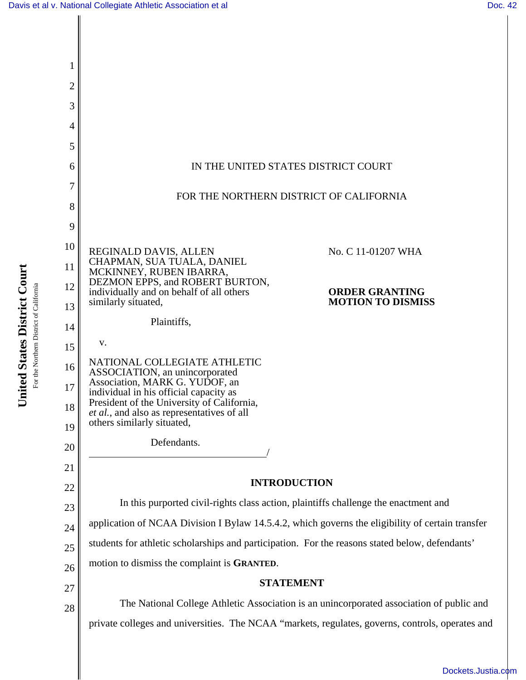

United States District Court **United States District Court** For the Northern District of California For the Northern District of California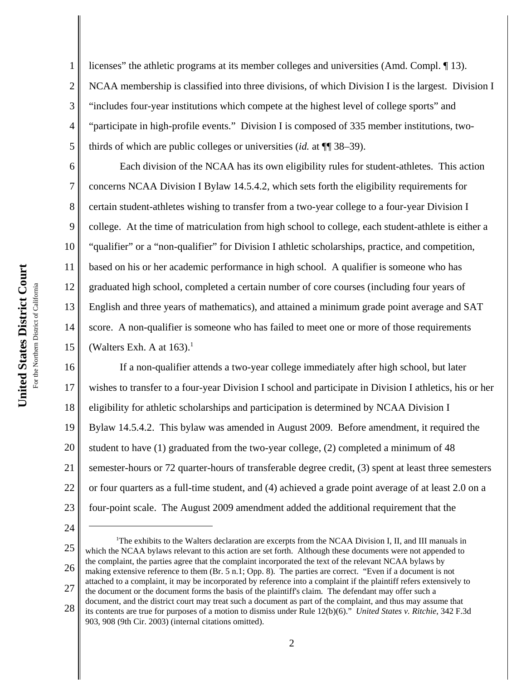2 3 4 5 licenses" the athletic programs at its member colleges and universities (Amd. Compl. ¶ 13). NCAA membership is classified into three divisions, of which Division I is the largest. Division I "includes four-year institutions which compete at the highest level of college sports" and "participate in high-profile events." Division I is composed of 335 member institutions, twothirds of which are public colleges or universities (*id.* at ¶¶ 38–39).

Each division of the NCAA has its own eligibility rules for student-athletes. This action concerns NCAA Division I Bylaw 14.5.4.2, which sets forth the eligibility requirements for certain student-athletes wishing to transfer from a two-year college to a four-year Division I college. At the time of matriculation from high school to college, each student-athlete is either a "qualifier" or a "non-qualifier" for Division I athletic scholarships, practice, and competition, based on his or her academic performance in high school. A qualifier is someone who has graduated high school, completed a certain number of core courses (including four years of English and three years of mathematics), and attained a minimum grade point average and SAT score. A non-qualifier is someone who has failed to meet one or more of those requirements (Walters Exh. A at  $163$ ).<sup>1</sup>

16 17 18 19 20 21 22 23 If a non-qualifier attends a two-year college immediately after high school, but later wishes to transfer to a four-year Division I school and participate in Division I athletics, his or her eligibility for athletic scholarships and participation is determined by NCAA Division I Bylaw 14.5.4.2. This bylaw was amended in August 2009. Before amendment, it required the student to have (1) graduated from the two-year college, (2) completed a minimum of 48 semester-hours or 72 quarter-hours of transferable degree credit, (3) spent at least three semesters or four quarters as a full-time student, and (4) achieved a grade point average of at least 2.0 on a four-point scale. The August 2009 amendment added the additional requirement that the

24

1

6

7

8

9

10

11

12

13

14

15

28 the document or the document forms the basis of the plaintiff's claim. The defendant may offer such a document, and the district court may treat such a document as part of the complaint, and thus may assume that its contents are true for purposes of a motion to dismiss under Rule 12(b)(6)." *United States v. Ritchie*, 342 F.3d 903, 908 (9th Cir. 2003) (internal citations omitted).

<sup>25</sup> 26 27 <sup>1</sup>The exhibits to the Walters declaration are excerpts from the NCAA Division I, II, and III manuals in which the NCAA bylaws relevant to this action are set forth. Although these documents were not appended to the complaint, the parties agree that the complaint incorporated the text of the relevant NCAA bylaws by making extensive reference to them (Br. 5 n.1; Opp. 8). The parties are correct. "Even if a document is not attached to a complaint, it may be incorporated by reference into a complaint if the plaintiff refers extensively to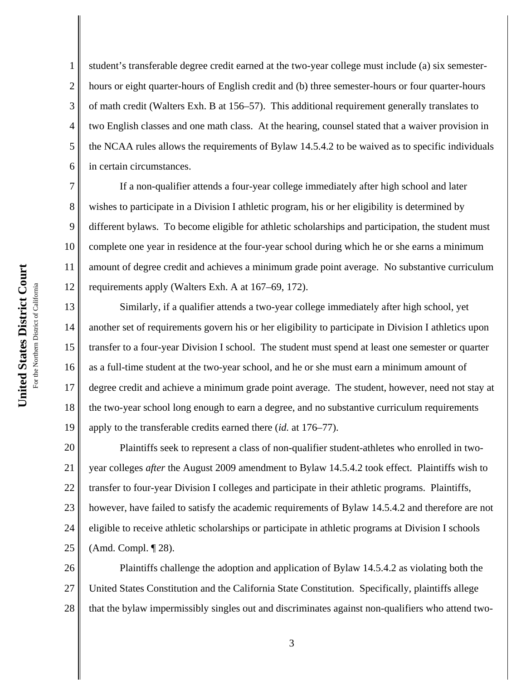1 2 3 4 5 6 student's transferable degree credit earned at the two-year college must include (a) six semesterhours or eight quarter-hours of English credit and (b) three semester-hours or four quarter-hours of math credit (Walters Exh. B at 156–57). This additional requirement generally translates to two English classes and one math class. At the hearing, counsel stated that a waiver provision in the NCAA rules allows the requirements of Bylaw 14.5.4.2 to be waived as to specific individuals in certain circumstances.

8 9 10 11 12 If a non-qualifier attends a four-year college immediately after high school and later wishes to participate in a Division I athletic program, his or her eligibility is determined by different bylaws. To become eligible for athletic scholarships and participation, the student must complete one year in residence at the four-year school during which he or she earns a minimum amount of degree credit and achieves a minimum grade point average. No substantive curriculum requirements apply (Walters Exh. A at 167–69, 172).

13 14 15 16 17 18 19 Similarly, if a qualifier attends a two-year college immediately after high school, yet another set of requirements govern his or her eligibility to participate in Division I athletics upon transfer to a four-year Division I school. The student must spend at least one semester or quarter as a full-time student at the two-year school, and he or she must earn a minimum amount of degree credit and achieve a minimum grade point average. The student, however, need not stay at the two-year school long enough to earn a degree, and no substantive curriculum requirements apply to the transferable credits earned there (*id.* at 176–77).

20 21 22 23 24 25 Plaintiffs seek to represent a class of non-qualifier student-athletes who enrolled in twoyear colleges *after* the August 2009 amendment to Bylaw 14.5.4.2 took effect. Plaintiffs wish to transfer to four-year Division I colleges and participate in their athletic programs. Plaintiffs, however, have failed to satisfy the academic requirements of Bylaw 14.5.4.2 and therefore are not eligible to receive athletic scholarships or participate in athletic programs at Division I schools (Amd. Compl. ¶ 28).

26 27 28 Plaintiffs challenge the adoption and application of Bylaw 14.5.4.2 as violating both the United States Constitution and the California State Constitution. Specifically, plaintiffs allege that the bylaw impermissibly singles out and discriminates against non-qualifiers who attend two-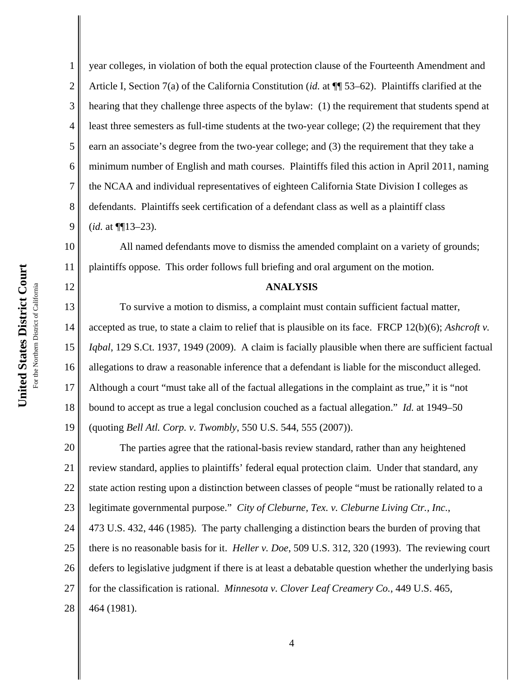1 2 3 4 5 6 7 8 9 year colleges, in violation of both the equal protection clause of the Fourteenth Amendment and Article I, Section 7(a) of the California Constitution (*id.* at ¶¶ 53–62). Plaintiffs clarified at the hearing that they challenge three aspects of the bylaw: (1) the requirement that students spend at least three semesters as full-time students at the two-year college; (2) the requirement that they earn an associate's degree from the two-year college; and (3) the requirement that they take a minimum number of English and math courses. Plaintiffs filed this action in April 2011, naming the NCAA and individual representatives of eighteen California State Division I colleges as defendants. Plaintiffs seek certification of a defendant class as well as a plaintiff class (*id.* at ¶¶13–23).

10 11 All named defendants move to dismiss the amended complaint on a variety of grounds; plaintiffs oppose. This order follows full briefing and oral argument on the motion.

## **ANALYSIS**

13 14 15 16 17 18 19 To survive a motion to dismiss, a complaint must contain sufficient factual matter, accepted as true, to state a claim to relief that is plausible on its face. FRCP 12(b)(6); *Ashcroft v. Iqbal*, 129 S.Ct. 1937, 1949 (2009). A claim is facially plausible when there are sufficient factual allegations to draw a reasonable inference that a defendant is liable for the misconduct alleged. Although a court "must take all of the factual allegations in the complaint as true," it is "not bound to accept as true a legal conclusion couched as a factual allegation." *Id.* at 1949–50 (quoting *Bell Atl. Corp. v. Twombly*, 550 U.S. 544, 555 (2007)).

20 21 22 23 24 25 26 27 28 The parties agree that the rational-basis review standard, rather than any heightened review standard, applies to plaintiffs' federal equal protection claim. Under that standard, any state action resting upon a distinction between classes of people "must be rationally related to a legitimate governmental purpose." *City of Cleburne, Tex. v. Cleburne Living Ctr., Inc.*, 473 U.S. 432, 446 (1985). The party challenging a distinction bears the burden of proving that there is no reasonable basis for it. *Heller v. Doe*, 509 U.S. 312, 320 (1993). The reviewing court defers to legislative judgment if there is at least a debatable question whether the underlying basis for the classification is rational. *Minnesota v. Clover Leaf Creamery Co.*, 449 U.S. 465, 464 (1981).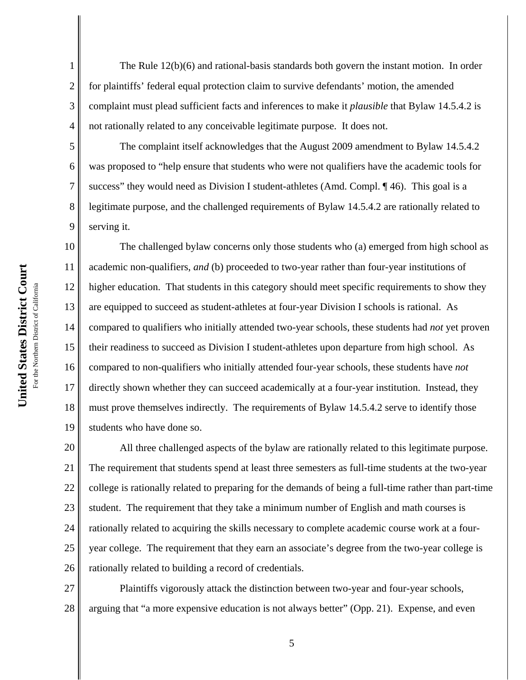The Rule 12(b)(6) and rational-basis standards both govern the instant motion. In order for plaintiffs' federal equal protection claim to survive defendants' motion, the amended complaint must plead sufficient facts and inferences to make it *plausible* that Bylaw 14.5.4.2 is not rationally related to any conceivable legitimate purpose. It does not.

The complaint itself acknowledges that the August 2009 amendment to Bylaw 14.5.4.2 was proposed to "help ensure that students who were not qualifiers have the academic tools for success" they would need as Division I student-athletes (Amd. Compl.  $\P$  46). This goal is a legitimate purpose, and the challenged requirements of Bylaw 14.5.4.2 are rationally related to serving it.

10 11 12 13 14 15 16 17 18 19 The challenged bylaw concerns only those students who (a) emerged from high school as academic non-qualifiers, *and* (b) proceeded to two-year rather than four-year institutions of higher education. That students in this category should meet specific requirements to show they are equipped to succeed as student-athletes at four-year Division I schools is rational. As compared to qualifiers who initially attended two-year schools, these students had *not* yet proven their readiness to succeed as Division I student-athletes upon departure from high school. As compared to non-qualifiers who initially attended four-year schools, these students have *not* directly shown whether they can succeed academically at a four-year institution. Instead, they must prove themselves indirectly. The requirements of Bylaw 14.5.4.2 serve to identify those students who have done so.

20 21 22 23 24 25 26 All three challenged aspects of the bylaw are rationally related to this legitimate purpose. The requirement that students spend at least three semesters as full-time students at the two-year college is rationally related to preparing for the demands of being a full-time rather than part-time student. The requirement that they take a minimum number of English and math courses is rationally related to acquiring the skills necessary to complete academic course work at a fouryear college. The requirement that they earn an associate's degree from the two-year college is rationally related to building a record of credentials.

27 28 Plaintiffs vigorously attack the distinction between two-year and four-year schools, arguing that "a more expensive education is not always better" (Opp. 21). Expense, and even

1

2

3

4

5

6

7

8

9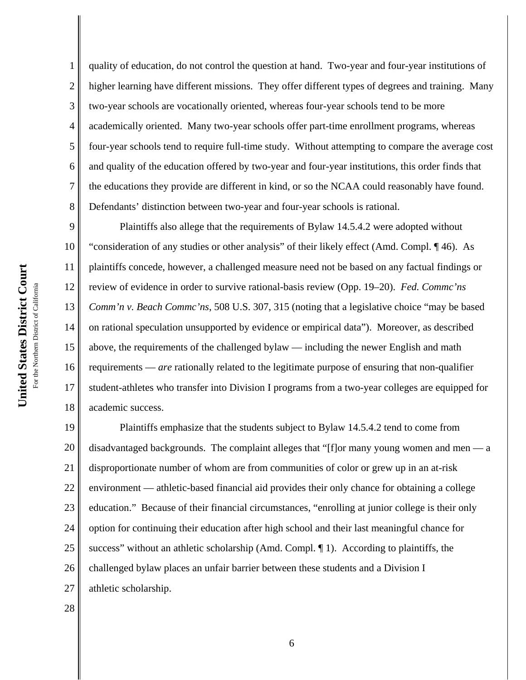quality of education, do not control the question at hand. Two-year and four-year institutions of higher learning have different missions. They offer different types of degrees and training. Many two-year schools are vocationally oriented, whereas four-year schools tend to be more academically oriented. Many two-year schools offer part-time enrollment programs, whereas four-year schools tend to require full-time study. Without attempting to compare the average cost and quality of the education offered by two-year and four-year institutions, this order finds that the educations they provide are different in kind, or so the NCAA could reasonably have found. Defendants' distinction between two-year and four-year schools is rational.

9 10 11 12 13 14 15 16 17 18 Plaintiffs also allege that the requirements of Bylaw 14.5.4.2 were adopted without "consideration of any studies or other analysis" of their likely effect (Amd. Compl. ¶ 46). As plaintiffs concede, however, a challenged measure need not be based on any factual findings or review of evidence in order to survive rational-basis review (Opp. 19–20). *Fed. Commc'ns Comm'n v. Beach Commc'ns*, 508 U.S. 307, 315 (noting that a legislative choice "may be based on rational speculation unsupported by evidence or empirical data"). Moreover, as described above, the requirements of the challenged bylaw — including the newer English and math requirements — *are* rationally related to the legitimate purpose of ensuring that non-qualifier student-athletes who transfer into Division I programs from a two-year colleges are equipped for academic success.

19 20 21 22 23 24 25 26 27 Plaintiffs emphasize that the students subject to Bylaw 14.5.4.2 tend to come from disadvantaged backgrounds. The complaint alleges that "[f]or many young women and men — a disproportionate number of whom are from communities of color or grew up in an at-risk environment — athletic-based financial aid provides their only chance for obtaining a college education." Because of their financial circumstances, "enrolling at junior college is their only option for continuing their education after high school and their last meaningful chance for success" without an athletic scholarship (Amd. Compl.  $\P$  1). According to plaintiffs, the challenged bylaw places an unfair barrier between these students and a Division I athletic scholarship.

28

1

2

3

4

5

6

7

8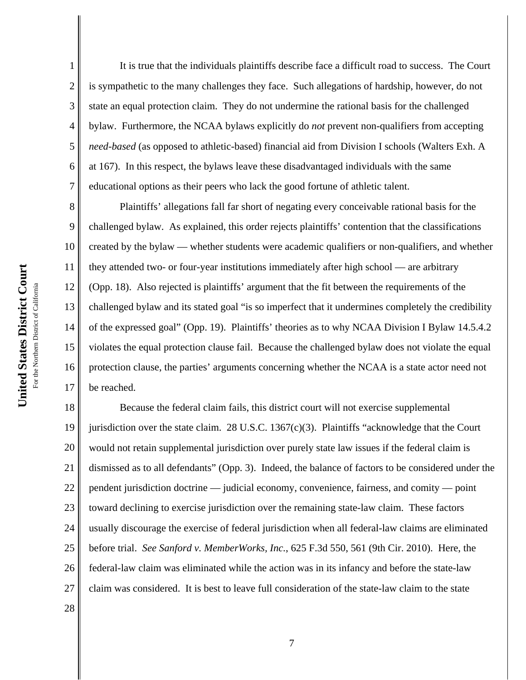2

3

4

5

6

7

It is true that the individuals plaintiffs describe face a difficult road to success. The Court is sympathetic to the many challenges they face. Such allegations of hardship, however, do not state an equal protection claim. They do not undermine the rational basis for the challenged bylaw. Furthermore, the NCAA bylaws explicitly do *not* prevent non-qualifiers from accepting *need-based* (as opposed to athletic-based) financial aid from Division I schools (Walters Exh. A at 167). In this respect, the bylaws leave these disadvantaged individuals with the same educational options as their peers who lack the good fortune of athletic talent.

8 9 10 11 12 13 14 15 16 17 Plaintiffs' allegations fall far short of negating every conceivable rational basis for the challenged bylaw. As explained, this order rejects plaintiffs' contention that the classifications created by the bylaw — whether students were academic qualifiers or non-qualifiers, and whether they attended two- or four-year institutions immediately after high school — are arbitrary (Opp. 18). Also rejected is plaintiffs' argument that the fit between the requirements of the challenged bylaw and its stated goal "is so imperfect that it undermines completely the credibility of the expressed goal" (Opp. 19). Plaintiffs' theories as to why NCAA Division I Bylaw 14.5.4.2 violates the equal protection clause fail. Because the challenged bylaw does not violate the equal protection clause, the parties' arguments concerning whether the NCAA is a state actor need not be reached.

18 19 20 21 22 23 24 25 26 27 Because the federal claim fails, this district court will not exercise supplemental jurisdiction over the state claim. 28 U.S.C. 1367(c)(3). Plaintiffs "acknowledge that the Court would not retain supplemental jurisdiction over purely state law issues if the federal claim is dismissed as to all defendants" (Opp. 3). Indeed, the balance of factors to be considered under the pendent jurisdiction doctrine — judicial economy, convenience, fairness, and comity — point toward declining to exercise jurisdiction over the remaining state-law claim. These factors usually discourage the exercise of federal jurisdiction when all federal-law claims are eliminated before trial. *See Sanford v. MemberWorks, Inc.*, 625 F.3d 550, 561 (9th Cir. 2010). Here, the federal-law claim was eliminated while the action was in its infancy and before the state-law claim was considered. It is best to leave full consideration of the state-law claim to the state

28